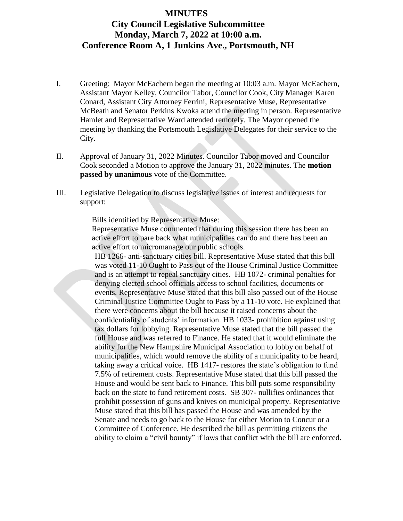## **MINUTES City Council Legislative Subcommittee Monday, March 7, 2022 at 10:00 a.m. Conference Room A, 1 Junkins Ave., Portsmouth, NH**

- I. Greeting: Mayor McEachern began the meeting at 10:03 a.m. Mayor McEachern, Assistant Mayor Kelley, Councilor Tabor, Councilor Cook, City Manager Karen Conard, Assistant City Attorney Ferrini, Representative Muse, Representative McBeath and Senator Perkins Kwoka attend the meeting in person. Representative Hamlet and Representative Ward attended remotely. The Mayor opened the meeting by thanking the Portsmouth Legislative Delegates for their service to the City.
- II. Approval of January 31, 2022 Minutes. Councilor Tabor moved and Councilor Cook seconded a Motion to approve the January 31, 2022 minutes. The **motion passed by unanimous** vote of the Committee.
- III. Legislative Delegation to discuss legislative issues of interest and requests for support:

Bills identified by Representative Muse:

Representative Muse commented that during this session there has been an active effort to pare back what municipalities can do and there has been an active effort to micromanage our public schools.

HB 1266- anti-sanctuary cities bill. Representative Muse stated that this bill was voted 11-10 Ought to Pass out of the House Criminal Justice Committee and is an attempt to repeal sanctuary cities. HB 1072- criminal penalties for denying elected school officials access to school facilities, documents or events. Representative Muse stated that this bill also passed out of the House Criminal Justice Committee Ought to Pass by a 11-10 vote. He explained that there were concerns about the bill because it raised concerns about the confidentiality of students' information. HB 1033- prohibition against using tax dollars for lobbying. Representative Muse stated that the bill passed the full House and was referred to Finance. He stated that it would eliminate the ability for the New Hampshire Municipal Association to lobby on behalf of municipalities, which would remove the ability of a municipality to be heard, taking away a critical voice. HB 1417- restores the state's obligation to fund 7.5% of retirement costs. Representative Muse stated that this bill passed the House and would be sent back to Finance. This bill puts some responsibility back on the state to fund retirement costs. SB 307- nullifies ordinances that prohibit possession of guns and knives on municipal property. Representative Muse stated that this bill has passed the House and was amended by the Senate and needs to go back to the House for either Motion to Concur or a Committee of Conference. He described the bill as permitting citizens the ability to claim a "civil bounty" if laws that conflict with the bill are enforced.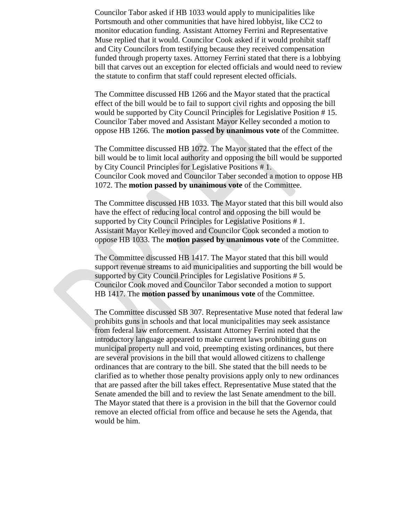Councilor Tabor asked if HB 1033 would apply to municipalities like Portsmouth and other communities that have hired lobbyist, like CC2 to monitor education funding. Assistant Attorney Ferrini and Representative Muse replied that it would. Councilor Cook asked if it would prohibit staff and City Councilors from testifying because they received compensation funded through property taxes. Attorney Ferrini stated that there is a lobbying bill that carves out an exception for elected officials and would need to review the statute to confirm that staff could represent elected officials.

The Committee discussed HB 1266 and the Mayor stated that the practical effect of the bill would be to fail to support civil rights and opposing the bill would be supported by City Council Principles for Legislative Position # 15. Councilor Taber moved and Assistant Mayor Kelley seconded a motion to oppose HB 1266. The **motion passed by unanimous vote** of the Committee.

The Committee discussed HB 1072. The Mayor stated that the effect of the bill would be to limit local authority and opposing the bill would be supported by City Council Principles for Legislative Positions # 1. Councilor Cook moved and Councilor Taber seconded a motion to oppose HB 1072. The **motion passed by unanimous vote** of the Committee.

The Committee discussed HB 1033. The Mayor stated that this bill would also have the effect of reducing local control and opposing the bill would be supported by City Council Principles for Legislative Positions # 1. Assistant Mayor Kelley moved and Councilor Cook seconded a motion to oppose HB 1033. The **motion passed by unanimous vote** of the Committee.

The Committee discussed HB 1417. The Mayor stated that this bill would support revenue streams to aid municipalities and supporting the bill would be supported by City Council Principles for Legislative Positions # 5. Councilor Cook moved and Councilor Tabor seconded a motion to support HB 1417. The **motion passed by unanimous vote** of the Committee.

The Committee discussed SB 307. Representative Muse noted that federal law prohibits guns in schools and that local municipalities may seek assistance from federal law enforcement. Assistant Attorney Ferrini noted that the introductory language appeared to make current laws prohibiting guns on municipal property null and void, preempting existing ordinances, but there are several provisions in the bill that would allowed citizens to challenge ordinances that are contrary to the bill. She stated that the bill needs to be clarified as to whether those penalty provisions apply only to new ordinances that are passed after the bill takes effect. Representative Muse stated that the Senate amended the bill and to review the last Senate amendment to the bill. The Mayor stated that there is a provision in the bill that the Governor could remove an elected official from office and because he sets the Agenda, that would be him.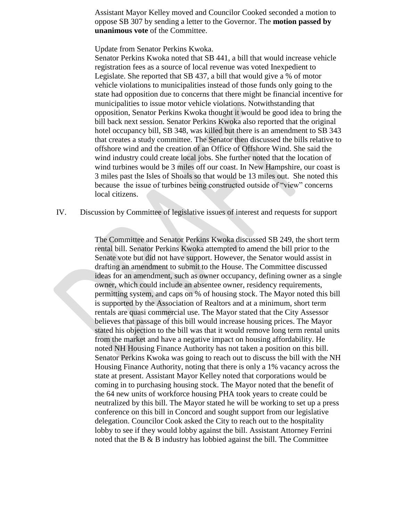Assistant Mayor Kelley moved and Councilor Cooked seconded a motion to oppose SB 307 by sending a letter to the Governor. The **motion passed by unanimous vote** of the Committee.

Update from Senator Perkins Kwoka.

Senator Perkins Kwoka noted that SB 441, a bill that would increase vehicle registration fees as a source of local revenue was voted Inexpedient to Legislate. She reported that SB 437, a bill that would give a % of motor vehicle violations to municipalities instead of those funds only going to the state had opposition due to concerns that there might be financial incentive for municipalities to issue motor vehicle violations. Notwithstanding that opposition, Senator Perkins Kwoka thought it would be good idea to bring the bill back next session. Senator Perkins Kwoka also reported that the original hotel occupancy bill, SB 348, was killed but there is an amendment to SB 343 that creates a study committee. The Senator then discussed the bills relative to offshore wind and the creation of an Office of Offshore Wind. She said the wind industry could create local jobs. She further noted that the location of wind turbines would be 3 miles off our coast. In New Hampshire, our coast is 3 miles past the Isles of Shoals so that would be 13 miles out. She noted this because the issue of turbines being constructed outside of "view" concerns local citizens.

IV. Discussion by Committee of legislative issues of interest and requests for support

The Committee and Senator Perkins Kwoka discussed SB 249, the short term rental bill. Senator Perkins Kwoka attempted to amend the bill prior to the Senate vote but did not have support. However, the Senator would assist in drafting an amendment to submit to the House. The Committee discussed ideas for an amendment, such as owner occupancy, defining owner as a single owner, which could include an absentee owner, residency requirements, permitting system, and caps on % of housing stock. The Mayor noted this bill is supported by the Association of Realtors and at a minimum, short term rentals are quasi commercial use. The Mayor stated that the City Assessor believes that passage of this bill would increase housing prices. The Mayor stated his objection to the bill was that it would remove long term rental units from the market and have a negative impact on housing affordability. He noted NH Housing Finance Authority has not taken a position on this bill. Senator Perkins Kwoka was going to reach out to discuss the bill with the NH Housing Finance Authority, noting that there is only a 1% vacancy across the state at present. Assistant Mayor Kelley noted that corporations would be coming in to purchasing housing stock. The Mayor noted that the benefit of the 64 new units of workforce housing PHA took years to create could be neutralized by this bill. The Mayor stated he will be working to set up a press conference on this bill in Concord and sought support from our legislative delegation. Councilor Cook asked the City to reach out to the hospitality lobby to see if they would lobby against the bill. Assistant Attorney Ferrini noted that the B & B industry has lobbied against the bill. The Committee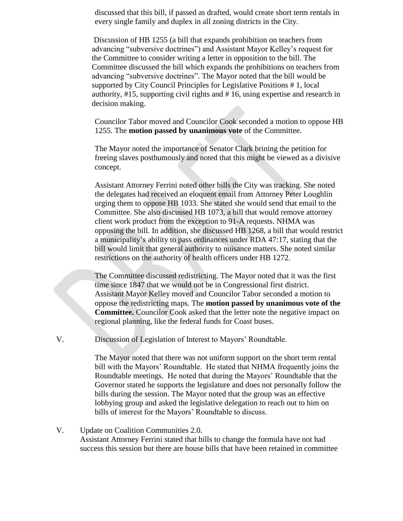discussed that this bill, if passed as drafted, would create short term rentals in every single family and duplex in all zoning districts in the City.

Discussion of HB 1255 (a bill that expands prohibition on teachers from advancing "subversive doctrines") and Assistant Mayor Kelley's request for the Committee to consider writing a letter in opposition to the bill. The Committee discussed the bill which expands the prohibitions on teachers from advancing "subversive doctrines". The Mayor noted that the bill would be supported by City Council Principles for Legislative Positions # 1, local authority, #15, supporting civil rights and # 16, using expertise and research in decision making.

Councilor Tabor moved and Councilor Cook seconded a motion to oppose HB 1255. The **motion passed by unanimous vote** of the Committee.

The Mayor noted the importance of Senator Clark brining the petition for freeing slaves posthumously and noted that this might be viewed as a divisive concept.

Assistant Attorney Ferrini noted other bills the City was tracking. She noted the delegates had received an eloquent email from Attorney Peter Loughlin urging them to oppose HB 1033. She stated she would send that email to the Committee. She also discussed HB 1073, a bill that would remove attorney client work product from the exception to 91-A requests. NHMA was opposing the bill. In addition, she discussed HB 1268, a bill that would restrict a municipality's ability to pass ordinances under RDA 47:17, stating that the bill would limit that general authority to nuisance matters. She noted similar restrictions on the authority of health officers under HB 1272.

The Committee discussed redistricting. The Mayor noted that it was the first time since 1847 that we would not be in Congressional first district. Assistant Mayor Kelley moved and Councilor Tabor seconded a motion to oppose the redistricting maps. The **motion passed by unanimous vote of the Committee.** Councilor Cook asked that the letter note the negative impact on regional planning, like the federal funds for Coast buses.

V. Discussion of Legislation of Interest to Mayors' Roundtable.

The Mayor noted that there was not uniform support on the short term rental bill with the Mayors' Roundtable. He stated that NHMA frequently joins the Roundtable meetings. He noted that during the Mayors' Roundtable that the Governor stated he supports the legislature and does not personally follow the bills during the session. The Mayor noted that the group was an effective lobbying group and asked the legislative delegation to reach out to him on bills of interest for the Mayors' Roundtable to discuss.

## V. Update on Coalition Communities 2.0.

Assistant Attorney Ferrini stated that bills to change the formula have not had success this session but there are house bills that have been retained in committee